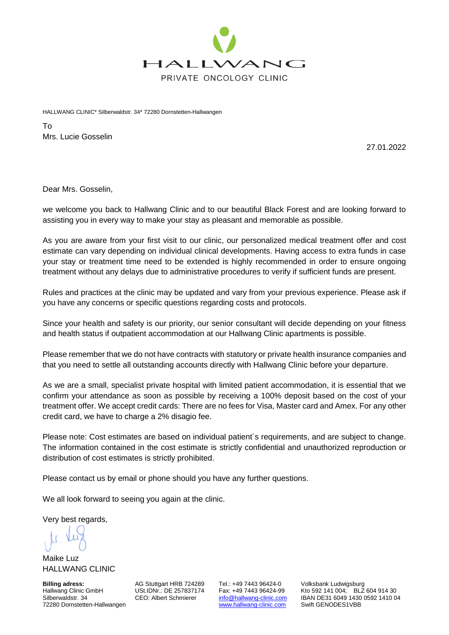

HALLWANG CLINIC\* Silberwaldstr. 34\* 72280 Dornstetten-Hallwangen

To Mrs. Lucie Gosselin

27.01.2022

Dear Mrs. Gosselin,

we welcome you back to Hallwang Clinic and to our beautiful Black Forest and are looking forward to assisting you in every way to make your stay as pleasant and memorable as possible.

As you are aware from your first visit to our clinic, our personalized medical treatment offer and cost estimate can vary depending on individual clinical developments. Having access to extra funds in case your stay or treatment time need to be extended is highly recommended in order to ensure ongoing treatment without any delays due to administrative procedures to verify if sufficient funds are present.

Rules and practices at the clinic may be updated and vary from your previous experience. Please ask if you have any concerns or specific questions regarding costs and protocols.

Since your health and safety is our priority, our senior consultant will decide depending on your fitness and health status if outpatient accommodation at our Hallwang Clinic apartments is possible.

Please remember that we do not have contracts with statutory or private health insurance companies and that you need to settle all outstanding accounts directly with Hallwang Clinic before your departure.

As we are a small, specialist private hospital with limited patient accommodation, it is essential that we confirm your attendance as soon as possible by receiving a 100% deposit based on the cost of your treatment offer. We accept credit cards: There are no fees for Visa, Master card and Amex. For any other credit card, we have to charge a 2% disagio fee.

Please note: Cost estimates are based on individual patient´s requirements, and are subject to change. The information contained in the cost estimate is strictly confidential and unauthorized reproduction or distribution of cost estimates is strictly prohibited.

Please contact us by email or phone should you have any further questions.

We all look forward to seeing you again at the clinic.

Very best regards,

Maike Luz HALLWANG CLINIC

**Billing adress:** AG Stuttgart HRB 724289 Tel.: +49 7443 96424-0 Volksbank Ludwigsburg<br>Hallwang Clinic GmbH USt.IDNr.: DE 257837174 Fax: +49 7443 96424-99 Kto 592 141 004; BLZ 72280 Dornstetten-Hallwangen

Hallwang Clinic GmbH USt.IDNr.: DE 257837174 Fax: +49 7443 96424-99 Kto 592 141 004; BLZ 604 914 30<br>Silberwaldstr. 34 CEO: Albert Schmierer info@hallwang-clinic.com IBAN DE31 6049 1430 0592 1410 0 [info@hallwang-clinic.com](mailto:info@hallwang-clinic.com) IBAN DE31 6049 1430 0592 1410 04<br>www.hallwang-clinic.com Swift GENODES1VBB